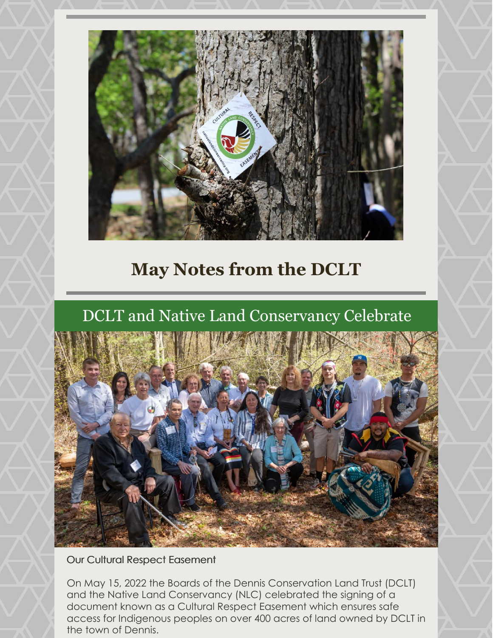

## **May Notes from the DCLT**

## DCLT and Native Land Conservancy Celebrate



Our Cultural Respect Easement

On May 15, 2022 the Boards of the Dennis Conservation Land Trust (DCLT) and the Native Land Conservancy (NLC) celebrated the signing of a document known as a Cultural Respect Easement which ensures safe access for Indigenous peoples on over 400 acres of land owned by DCLT in the town of Dennis.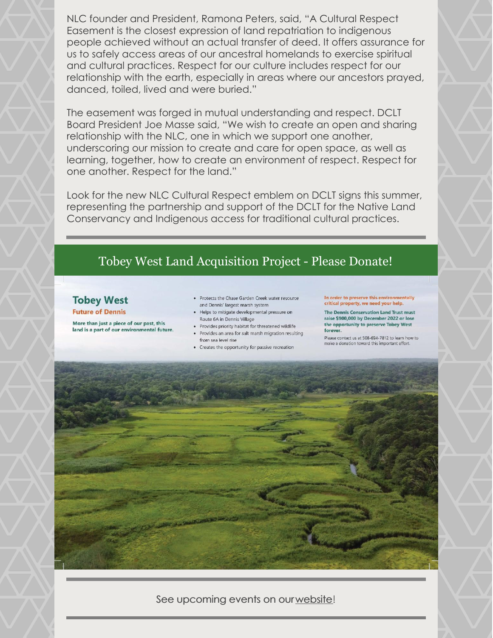NLC founder and President, Ramona Peters, said, "A Cultural Respect Easement is the closest expression of land repatriation to indigenous people achieved without an actual transfer of deed. It offers assurance for us to safely access areas of our ancestral homelands to exercise spiritual and cultural practices. Respect for our culture includes respect for our relationship with the earth, especially in areas where our ancestors prayed, danced, toiled, lived and were buried."

The easement was forged in mutual understanding and respect. DCLT Board President Joe Masse said, "We wish to create an open and sharing relationship with the NLC, one in which we support one another, underscoring our mission to create and care for open space, as well as learning, together, how to create an environment of respect. Respect for one another. Respect for the land."

Look for the new NLC Cultural Respect emblem on DCLT signs this summer, representing the partnership and support of the DCLT for the Native Land Conservancy and Indigenous access for traditional cultural practices.

## Tobey West Land Acquisition Project - Please Donate!

## **Tobey West**

**Future of Dennis** 

More than just a piece of our past, this land is a part of our environmental future.

- · Protects the Chase Garden Creek water resource and Dennis' largest marsh system
- Helps to mitigate developmental pressure on Route 6A in Dennis Village
- · Provides priority habitat for threatened wildlife · Provides an area for salt marsh migration resulting
- from sea level rise
- Creates the opportunity for passive recreation

In order to preserve this environ critical property, we need your help.

The Dennis Conservation Land Trust must raise \$900,000 by December 2022 or lose the opportunity to preserve Tobey West forever.

Please contact us at 508-694-7812 to learn how to make a donation toward this important effort.